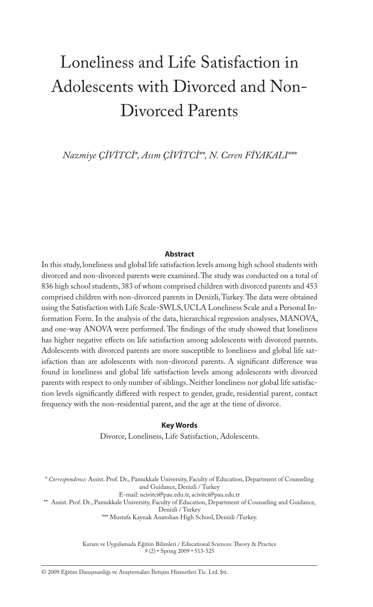# Loneliness and Life Satisfaction in Adolescents with Divorced and Non-Divorced Parents

*Nazmiye ÇİVİTCİ\*, Asım ÇİVİTCİ\*\*, N. Ceren FİYAKALI\*\*\**

#### **Abstract**

In this study, loneliness and global life satisfaction levels among high school students with divorced and non-divorced parents were examined. The study was conducted on a total of 836 high school students, 383 of whom comprised children with divorced parents and 453 comprised children with non-divorced parents in Denizli, Turkey. The data were obtained using the Satisfaction with Life Scale-SWLS, UCLA Loneliness Scale and a Personal Information Form. In the analysis of the data, hierarchical regression analyses, MANOVA, and one-way ANOVA were performed. The findings of the study showed that loneliness has higher negative effects on life satisfaction among adolescents with divorced parents. Adolescents with divorced parents are more susceptible to loneliness and global life satisfaction than are adolescents with non-divorced parents. A significant difference was found in loneliness and global life satisfaction levels among adolescents with divorced parents with respect to only number of siblings. Neither loneliness nor global life satisfaction levels significantly differed with respect to gender, grade, residential parent, contact frequency with the non-residential parent, and the age at the time of divorce.

#### **Key Words**

Divorce, Loneliness, Life Satisfaction, Adolescents.

\* *Correspondence:* Assist. Prof. Dr., Pamukkale University, Faculty of Education, Department of Counseling and Guidance, Denizli / Turkey

E-mail: ncivitci@pau.edu.tr, acivitci@pau.edu.tr

\*\* Assist. Prof. Dr., Pamukkale University, Faculty of Education, Department of Counseling and Guidance,

Denizli / Turkey \*\*\* Mustafa Kaynak Anatolian High School, Denizli /Turkey.

Kuram ve Uygulamada Eğitim Bilimleri / Educational Sciences: Theory & Practice *9* (2) • Spring 2009 • 513-525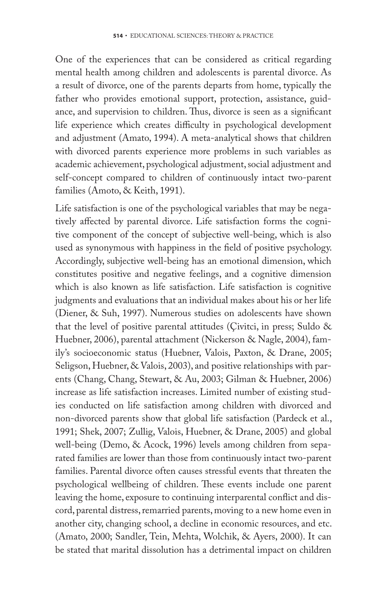One of the experiences that can be considered as critical regarding mental health among children and adolescents is parental divorce. As a result of divorce, one of the parents departs from home, typically the father who provides emotional support, protection, assistance, guidance, and supervision to children. Thus, divorce is seen as a significant life experience which creates difficulty in psychological development and adjustment (Amato, 1994). A meta-analytical shows that children with divorced parents experience more problems in such variables as academic achievement, psychological adjustment, social adjustment and self-concept compared to children of continuously intact two-parent families (Amoto, & Keith, 1991).

Life satisfaction is one of the psychological variables that may be negatively affected by parental divorce. Life satisfaction forms the cognitive component of the concept of subjective well-being, which is also used as synonymous with happiness in the field of positive psychology. Accordingly, subjective well-being has an emotional dimension, which constitutes positive and negative feelings, and a cognitive dimension which is also known as life satisfaction. Life satisfaction is cognitive judgments and evaluations that an individual makes about his or her life (Diener, & Suh, 1997). Numerous studies on adolescents have shown that the level of positive parental attitudes (Çivitci, in press; Suldo & Huebner, 2006), parental attachment (Nickerson & Nagle, 2004), family's socioeconomic status (Huebner, Valois, Paxton, & Drane, 2005; Seligson, Huebner, & Valois, 2003), and positive relationships with parents (Chang, Chang, Stewart, & Au, 2003; Gilman & Huebner, 2006) increase as life satisfaction increases. Limited number of existing studies conducted on life satisfaction among children with divorced and non-divorced parents show that global life satisfaction (Pardeck et al., 1991; Shek, 2007; Zullig, Valois, Huebner, & Drane, 2005) and global well-being (Demo, & Acock, 1996) levels among children from separated families are lower than those from continuously intact two-parent families. Parental divorce often causes stressful events that threaten the psychological wellbeing of children. These events include one parent leaving the home, exposure to continuing interparental conflict and discord, parental distress, remarried parents, moving to a new home even in another city, changing school, a decline in economic resources, and etc. (Amato, 2000; Sandler, Tein, Mehta, Wolchik, & Ayers, 2000). It can be stated that marital dissolution has a detrimental impact on children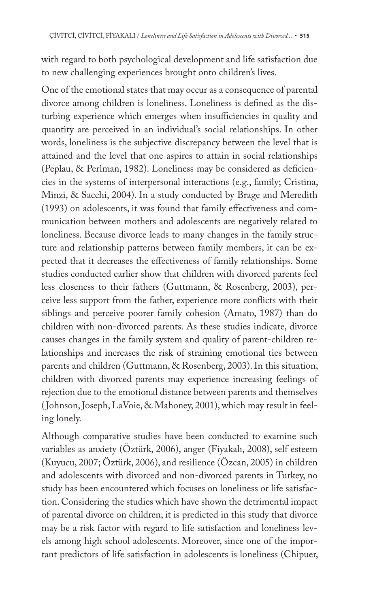with regard to both psychological development and life satisfaction due to new challenging experiences brought onto children's lives.

One of the emotional states that may occur as a consequence of parental divorce among children is loneliness. Loneliness is defined as the disturbing experience which emerges when insufficiencies in quality and quantity are perceived in an individual's social relationships. In other words, loneliness is the subjective discrepancy between the level that is attained and the level that one aspires to attain in social relationships (Peplau, & Perlman, 1982). Loneliness may be considered as deficiencies in the systems of interpersonal interactions (e.g., family; Cristina, Minzi, & Sacchi, 2004). In a study conducted by Brage and Meredith (1993) on adolescents, it was found that family effectiveness and communication between mothers and adolescents are negatively related to loneliness. Because divorce leads to many changes in the family structure and relationship patterns between family members, it can be expected that it decreases the effectiveness of family relationships. Some studies conducted earlier show that children with divorced parents feel less closeness to their fathers (Guttmann, & Rosenberg, 2003), perceive less support from the father, experience more conflicts with their siblings and perceive poorer family cohesion (Amato, 1987) than do children with non-divorced parents. As these studies indicate, divorce causes changes in the family system and quality of parent-children relationships and increases the risk of straining emotional ties between parents and children (Guttmann, & Rosenberg, 2003). In this situation, children with divorced parents may experience increasing feelings of rejection due to the emotional distance between parents and themselves ( Johnson, Joseph, LaVoie, & Mahoney, 2001), which may result in feeling lonely.

Although comparative studies have been conducted to examine such variables as anxiety (Öztürk, 2006), anger (Fiyakalı, 2008), self esteem (Kuyucu, 2007; Öztürk, 2006), and resilience (Özcan, 2005) in children and adolescents with divorced and non-divorced parents in Turkey, no study has been encountered which focuses on loneliness or life satisfaction. Considering the studies which have shown the detrimental impact of parental divorce on children, it is predicted in this study that divorce may be a risk factor with regard to life satisfaction and loneliness levels among high school adolescents. Moreover, since one of the important predictors of life satisfaction in adolescents is loneliness (Chipuer,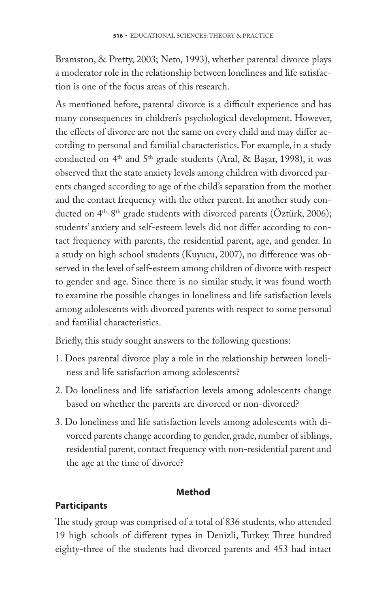Bramston, & Pretty, 2003; Neto, 1993), whether parental divorce plays a moderator role in the relationship between loneliness and life satisfaction is one of the focus areas of this research.

As mentioned before, parental divorce is a difficult experience and has many consequences in children's psychological development. However, the effects of divorce are not the same on every child and may differ according to personal and familial characteristics. For example, in a study conducted on 4<sup>th</sup> and 5<sup>th</sup> grade students (Aral, & Başar, 1998), it was observed that the state anxiety levels among children with divorced parents changed according to age of the child's separation from the mother and the contact frequency with the other parent. In another study conducted on 4<sup>th</sup>-8<sup>th</sup> grade students with divorced parents (Öztürk, 2006); students' anxiety and self-esteem levels did not differ according to contact frequency with parents, the residential parent, age, and gender. In a study on high school students (Kuyucu, 2007), no difference was observed in the level of self-esteem among children of divorce with respect to gender and age. Since there is no similar study, it was found worth to examine the possible changes in loneliness and life satisfaction levels among adolescents with divorced parents with respect to some personal and familial characteristics.

Briefly, this study sought answers to the following questions:

- 1. Does parental divorce play a role in the relationship between loneliness and life satisfaction among adolescents?
- 2. Do loneliness and life satisfaction levels among adolescents change based on whether the parents are divorced or non-divorced?
- 3. Do loneliness and life satisfaction levels among adolescents with divorced parents change according to gender, grade, number of siblings, residential parent, contact frequency with non-residential parent and the age at the time of divorce?

# **Method**

# **Participants**

The study group was comprised of a total of 836 students, who attended 19 high schools of different types in Denizli, Turkey. Three hundred eighty-three of the students had divorced parents and 453 had intact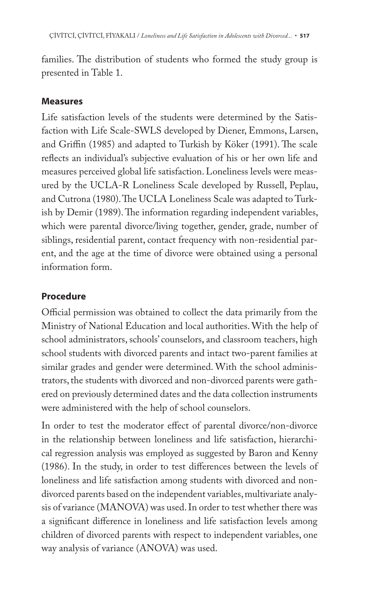families. The distribution of students who formed the study group is presented in Table 1.

## **Measures**

Life satisfaction levels of the students were determined by the Satisfaction with Life Scale-SWLS developed by Diener, Emmons, Larsen, and Griffin (1985) and adapted to Turkish by Köker (1991). The scale reflects an individual's subjective evaluation of his or her own life and measures perceived global life satisfaction. Loneliness levels were measured by the UCLA-R Loneliness Scale developed by Russell, Peplau, and Cutrona (1980). The UCLA Loneliness Scale was adapted to Turkish by Demir (1989). The information regarding independent variables, which were parental divorce/living together, gender, grade, number of siblings, residential parent, contact frequency with non-residential parent, and the age at the time of divorce were obtained using a personal information form.

## **Procedure**

Official permission was obtained to collect the data primarily from the Ministry of National Education and local authorities. With the help of school administrators, schools' counselors, and classroom teachers, high school students with divorced parents and intact two-parent families at similar grades and gender were determined. With the school administrators, the students with divorced and non-divorced parents were gathered on previously determined dates and the data collection instruments were administered with the help of school counselors.

In order to test the moderator effect of parental divorce/non-divorce in the relationship between loneliness and life satisfaction, hierarchical regression analysis was employed as suggested by Baron and Kenny (1986). In the study, in order to test differences between the levels of loneliness and life satisfaction among students with divorced and nondivorced parents based on the independent variables, multivariate analysis of variance (MANOVA) was used. In order to test whether there was a significant difference in loneliness and life satisfaction levels among children of divorced parents with respect to independent variables, one way analysis of variance (ANOVA) was used.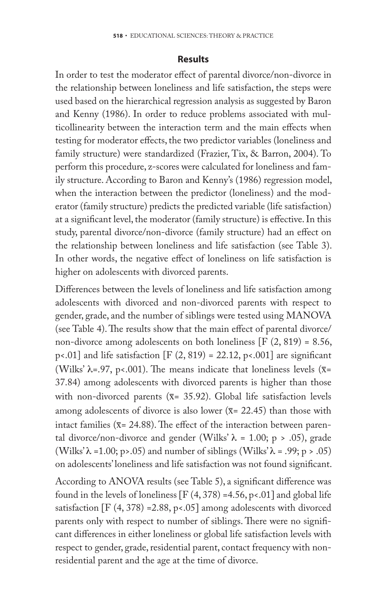#### **Results**

In order to test the moderator effect of parental divorce/non-divorce in the relationship between loneliness and life satisfaction, the steps were used based on the hierarchical regression analysis as suggested by Baron and Kenny (1986). In order to reduce problems associated with multicollinearity between the interaction term and the main effects when testing for moderator effects, the two predictor variables (loneliness and family structure) were standardized (Frazier, Tix, & Barron, 2004). To perform this procedure, z-scores were calculated for loneliness and family structure. According to Baron and Kenny's (1986) regression model, when the interaction between the predictor (loneliness) and the moderator (family structure) predicts the predicted variable (life satisfaction) at a significant level, the moderator (family structure) is effective. In this study, parental divorce/non-divorce (family structure) had an effect on the relationship between loneliness and life satisfaction (see Table 3). In other words, the negative effect of loneliness on life satisfaction is higher on adolescents with divorced parents.

Differences between the levels of loneliness and life satisfaction among adolescents with divorced and non-divorced parents with respect to gender, grade, and the number of siblings were tested using MANOVA (see Table 4). The results show that the main effect of parental divorce/ non-divorce among adolescents on both loneliness  $[F (2, 819) = 8.56,$ p<.01] and life satisfaction [F  $(2, 819) = 22.12$ , p<.001] are significant (Wilks'  $\lambda$ =.97, p<.001). The means indicate that loneliness levels ( $\bar{x}$ = 37.84) among adolescents with divorced parents is higher than those with non-divorced parents ( $\bar{x}$ = 35.92). Global life satisfaction levels among adolescents of divorce is also lower ( $\bar{x}$ = 22.45) than those with intact families ( $\bar{x}$ = 24.88). The effect of the interaction between parental divorce/non-divorce and gender (Wilks'  $\lambda$  = 1.00; p > .05), grade (Wilks' $\lambda$  = 1.00; p>.05) and number of siblings (Wilks' $\lambda$  = .99; p > .05) on adolescents' loneliness and life satisfaction was not found significant.

According to ANOVA results (see Table 5), a significant difference was found in the levels of loneliness  $[F(4, 378) = 4.56, p < .01]$  and global life satisfaction  $[F (4, 378) = 2.88, p < .05]$  among adolescents with divorced parents only with respect to number of siblings. There were no significant differences in either loneliness or global life satisfaction levels with respect to gender, grade, residential parent, contact frequency with nonresidential parent and the age at the time of divorce.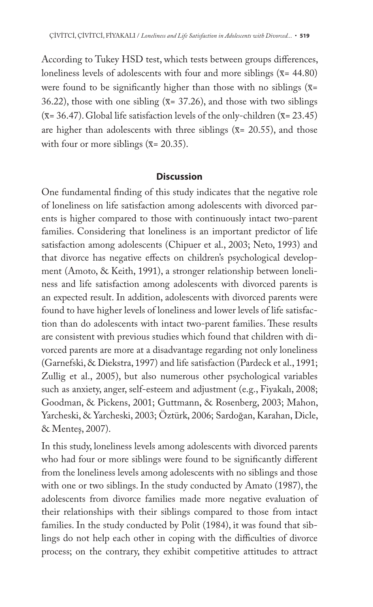According to Tukey HSD test, which tests between groups differences, loneliness levels of adolescents with four and more siblings ( $\bar{x}$ = 44.80) were found to be significantly higher than those with no siblings  $(\overline{x}$ = 36.22), those with one sibling ( $\bar{x}$ = 37.26), and those with two siblings  $(\overline{x} = 36.47)$ . Global life satisfaction levels of the only-children  $(\overline{x} = 23.45)$ are higher than adolescents with three siblings ( $\bar{x}$ = 20.55), and those with four or more siblings ( $\overline{x}$ = 20.35).

### **Discussion**

One fundamental finding of this study indicates that the negative role of loneliness on life satisfaction among adolescents with divorced parents is higher compared to those with continuously intact two-parent families. Considering that loneliness is an important predictor of life satisfaction among adolescents (Chipuer et al., 2003; Neto, 1993) and that divorce has negative effects on children's psychological development (Amoto, & Keith, 1991), a stronger relationship between loneliness and life satisfaction among adolescents with divorced parents is an expected result. In addition, adolescents with divorced parents were found to have higher levels of loneliness and lower levels of life satisfaction than do adolescents with intact two-parent families. These results are consistent with previous studies which found that children with divorced parents are more at a disadvantage regarding not only loneliness (Garnefski, & Diekstra, 1997) and life satisfaction (Pardeck et al., 1991; Zullig et al., 2005), but also numerous other psychological variables such as anxiety, anger, self-esteem and adjustment (e.g., Fiyakalı, 2008; Goodman, & Pickens, 2001; Guttmann, & Rosenberg, 2003; Mahon, Yarcheski, & Yarcheski, 2003; Öztürk, 2006; Sardoğan, Karahan, Dicle, & Menteş, 2007).

In this study, loneliness levels among adolescents with divorced parents who had four or more siblings were found to be significantly different from the loneliness levels among adolescents with no siblings and those with one or two siblings. In the study conducted by Amato (1987), the adolescents from divorce families made more negative evaluation of their relationships with their siblings compared to those from intact families. In the study conducted by Polit (1984), it was found that siblings do not help each other in coping with the difficulties of divorce process; on the contrary, they exhibit competitive attitudes to attract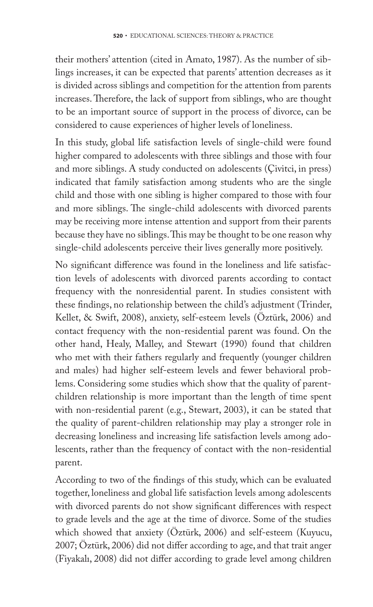their mothers' attention (cited in Amato, 1987). As the number of siblings increases, it can be expected that parents' attention decreases as it is divided across siblings and competition for the attention from parents increases. Therefore, the lack of support from siblings, who are thought to be an important source of support in the process of divorce, can be considered to cause experiences of higher levels of loneliness.

In this study, global life satisfaction levels of single-child were found higher compared to adolescents with three siblings and those with four and more siblings. A study conducted on adolescents (Çivitci, in press) indicated that family satisfaction among students who are the single child and those with one sibling is higher compared to those with four and more siblings. The single-child adolescents with divorced parents may be receiving more intense attention and support from their parents because they have no siblings. This may be thought to be one reason why single-child adolescents perceive their lives generally more positively.

No significant difference was found in the loneliness and life satisfaction levels of adolescents with divorced parents according to contact frequency with the nonresidential parent. In studies consistent with these findings, no relationship between the child's adjustment (Trinder, Kellet, & Swift, 2008), anxiety, self-esteem levels (Öztürk, 2006) and contact frequency with the non-residential parent was found. On the other hand, Healy, Malley, and Stewart (1990) found that children who met with their fathers regularly and frequently (younger children and males) had higher self-esteem levels and fewer behavioral problems. Considering some studies which show that the quality of parentchildren relationship is more important than the length of time spent with non-residential parent (e.g., Stewart, 2003), it can be stated that the quality of parent-children relationship may play a stronger role in decreasing loneliness and increasing life satisfaction levels among adolescents, rather than the frequency of contact with the non-residential parent.

According to two of the findings of this study, which can be evaluated together, loneliness and global life satisfaction levels among adolescents with divorced parents do not show significant differences with respect to grade levels and the age at the time of divorce. Some of the studies which showed that anxiety (Öztürk, 2006) and self-esteem (Kuyucu, 2007; Öztürk, 2006) did not differ according to age, and that trait anger (Fiyakalı, 2008) did not differ according to grade level among children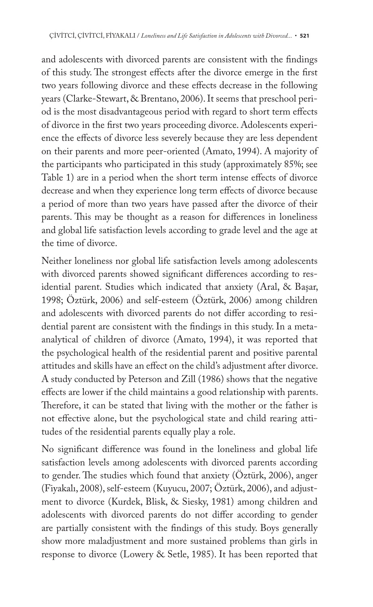and adolescents with divorced parents are consistent with the findings of this study. The strongest effects after the divorce emerge in the first two years following divorce and these effects decrease in the following years (Clarke-Stewart, & Brentano, 2006). It seems that preschool period is the most disadvantageous period with regard to short term effects of divorce in the first two years proceeding divorce. Adolescents experience the effects of divorce less severely because they are less dependent on their parents and more peer-oriented (Amato, 1994). A majority of the participants who participated in this study (approximately 85%; see Table 1) are in a period when the short term intense effects of divorce decrease and when they experience long term effects of divorce because a period of more than two years have passed after the divorce of their parents. This may be thought as a reason for differences in loneliness and global life satisfaction levels according to grade level and the age at the time of divorce.

Neither loneliness nor global life satisfaction levels among adolescents with divorced parents showed significant differences according to residential parent. Studies which indicated that anxiety (Aral, & Başar, 1998; Öztürk, 2006) and self-esteem (Öztürk, 2006) among children and adolescents with divorced parents do not differ according to residential parent are consistent with the findings in this study. In a metaanalytical of children of divorce (Amato, 1994), it was reported that the psychological health of the residential parent and positive parental attitudes and skills have an effect on the child's adjustment after divorce. A study conducted by Peterson and Zill (1986) shows that the negative effects are lower if the child maintains a good relationship with parents. Therefore, it can be stated that living with the mother or the father is not effective alone, but the psychological state and child rearing attitudes of the residential parents equally play a role.

No significant difference was found in the loneliness and global life satisfaction levels among adolescents with divorced parents according to gender. The studies which found that anxiety (Öztürk, 2006), anger (Fiyakalı, 2008), self-esteem (Kuyucu, 2007; Öztürk, 2006), and adjustment to divorce (Kurdek, Blisk, & Siesky, 1981) among children and adolescents with divorced parents do not differ according to gender are partially consistent with the findings of this study. Boys generally show more maladjustment and more sustained problems than girls in response to divorce (Lowery & Setle, 1985). It has been reported that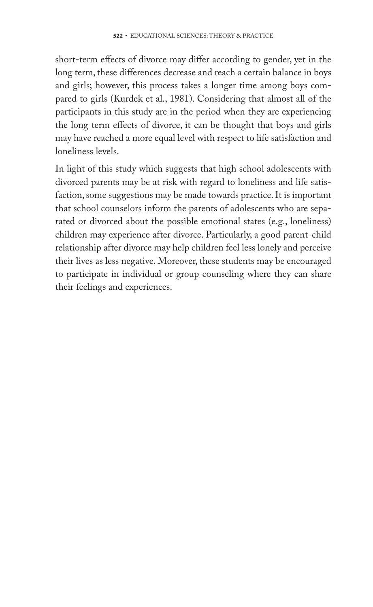short-term effects of divorce may differ according to gender, yet in the long term, these differences decrease and reach a certain balance in boys and girls; however, this process takes a longer time among boys compared to girls (Kurdek et al., 1981). Considering that almost all of the participants in this study are in the period when they are experiencing the long term effects of divorce, it can be thought that boys and girls may have reached a more equal level with respect to life satisfaction and loneliness levels.

In light of this study which suggests that high school adolescents with divorced parents may be at risk with regard to loneliness and life satisfaction, some suggestions may be made towards practice. It is important that school counselors inform the parents of adolescents who are separated or divorced about the possible emotional states (e.g., loneliness) children may experience after divorce. Particularly, a good parent-child relationship after divorce may help children feel less lonely and perceive their lives as less negative. Moreover, these students may be encouraged to participate in individual or group counseling where they can share their feelings and experiences.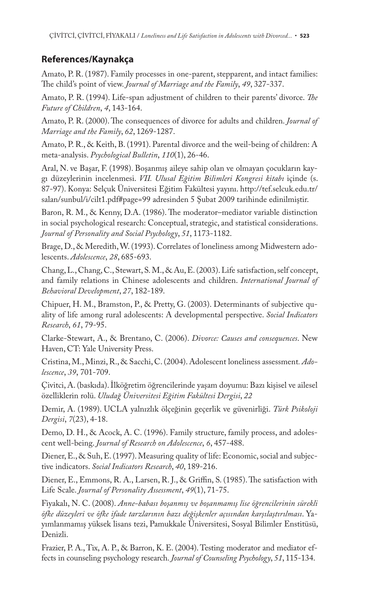## **References/Kaynakça**

Amato, P. R. (1987). Family processes in one-parent, stepparent, and intact families: The child's point of view. *Journal of Marriage and the Family*, 49, 327-337.

Amato, P. R. (1994). Life-span adjustment of children to their parents' divorce. *The Future of Children*, *4*, 143-164.

Amato, P. R. (2000). The consequences of divorce for adults and children. *Journal of Marriage and the Family*, *62*, 1269-1287.

Amato, P. R., & Keith, B. (1991). Parental divorce and the weil-being of children: A meta-analysis. *Psychological Bulletin*, *110*(1), 26-46.

Aral, N. ve Başar, F. (1998). Boşanmış aileye sahip olan ve olmayan çocukların kaygı düzeylerinin incelenmesi. *VII. Ulusal Eğitim Bilimleri Kongresi kitabı* içinde (s. 87-97). Konya: Selçuk Üniversitesi Eğitim Fakültesi yayını. http://tef.selcuk.edu.tr/ salan/sunbul/i/cilt1.pdf#page=99 adresinden 5 Şubat 2009 tarihinde edinilmiştir.

Baron, R. M., & Kenny, D.A. (1986). The moderator–mediator variable distinction in social psychological research: Conceptual, strategic, and statistical considerations. *Journal of Personality and Social Psychology*, *51*, 1173-1182.

Brage, D., & Meredith, W. (1993). Correlates of loneliness among Midwestern adolescents. *Adolescence*, *28*, 685-693.

Chang, L., Chang, C., Stewart, S. M., & Au, E. (2003). Life satisfaction, self concept, and family relations in Chinese adolescents and children. *International Journal of Behavioral Development*, *27*, 182-189.

Chipuer, H. M., Bramston, P., & Pretty, G. (2003). Determinants of subjective quality of life among rural adolescents: A developmental perspective. *Social Indicators Research*, *61*, 79-95.

Clarke-Stewart, A., & Brentano, C. (2006). *Divorce: Causes and consequences*. New Haven, CT: Yale University Press.

Cristina, M., Minzi, R., & Sacchi, C. (2004). Adolescent loneliness assessment*. Adolescence*, *39*, 701-709.

Çivitci, A. (baskıda). İlköğretim öğrencilerinde yaşam doyumu: Bazı kişisel ve ailesel özelliklerin rolü. *Uludağ Üniversitesi Eğitim Fakültesi Dergisi*, *22*

Demir, A. (1989). UCLA yalnızlık ölçeğinin geçerlik ve güvenirliği. *Türk Psikoloji Dergisi*, *7*(23), 4-18.

Demo, D. H., & Acock, A. C. (1996). Family structure, family process, and adolescent well-being. *Journal of Research on Adolescence*, *6*, 457-488.

Diener, E., & Suh, E. (1997). Measuring quality of life: Economic, social and subjective indicators. *Social Indicators Research*, *40*, 189-216.

Diener, E., Emmons, R. A., Larsen, R. J., & Griffin, S. (1985). The satisfaction with Life Scale. *Journal of Personality Assessment*, *49*(1), 71-75.

Fiyakalı, N. C. (2008). *Anne-babası boşanmış ve boşanmamış lise öğrencilerinin sürekli öfke düzeyleri ve öfke ifade tarzlarının bazı değişkenler açısından karşılaştırılması*. Yayımlanmamış yüksek lisans tezi, Pamukkale Üniversitesi, Sosyal Bilimler Enstitüsü, Denizli.

Frazier, P. A., Tix, A. P., & Barron, K. E. (2004). Testing moderator and mediator effects in counseling psychology research. *Journal of Counseling Psychology*, *51*, 115-134.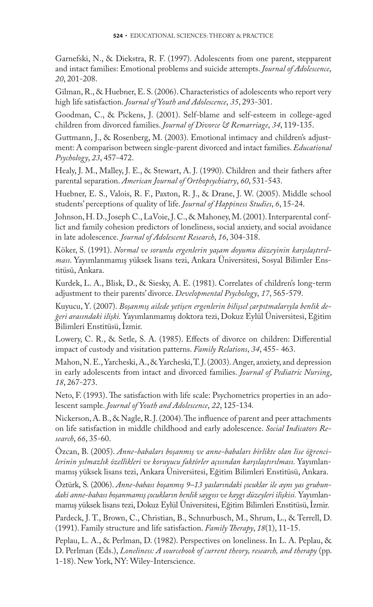Garnefski, N., & Diekstra, R. F. (1997). Adolescents from one parent, stepparent and intact families: Emotional problems and suicide attempts. *Journal of Adolescence*, *20*, 201-208.

Gilman, R., & Huebner, E. S. (2006). Characteristics of adolescents who report very high life satisfaction. *Journal of Youth and Adolescence*, *35*, 293-301.

Goodman, C., & Pickens, J. (2001). Self-blame and self-esteem in college-aged children from divorced families. *Journal of Divorce & Remarriage*, *34*, 119-135.

Guttmann, J., & Rosenberg, M. (2003). Emotional intimacy and children's adjustment: A comparison between single-parent divorced and intact families. *Educational Psychology*, *23*, 457-472.

Healy, J. M., Malley, J. E., & Stewart, A. J. (1990). Children and their fathers after parental separation. *American Journal of Orthopsychiatry*, *60*, 531-543.

Huebner, E. S., Valois, R. F., Paxton, R. J., & Drane, J. W. (2005). Middle school students' perceptions of quality of life. *Journal of Happiness Studies*, *6*, 15-24.

Johnson, H. D., Joseph C., LaVoie, J. C., & Mahoney, M. (2001). Interparental conflict and family cohesion predictors of loneliness, social anxiety, and social avoidance in late adolescence. *Journal of Adolescent Research*, *16*, 304-318.

Köker, S. (1991). *Normal ve sorunlu ergenlerin yaşam doyumu düzeyinin karşılaştırılması*. Yayımlanmamış yüksek lisans tezi, Ankara Üniversitesi, Sosyal Bilimler Enstitüsü, Ankara.

Kurdek, L. A., Blisk, D., & Siesky, A. E. (1981). Correlates of children's long-term adjustment to their parents' divorce. *Developmental Psychology*, *17*, 565-579.

Kuyucu, Y. (2007). *Boşanmış ailede yetişen ergenlerin bilişsel çarpıtmalarıyla benlik değeri arasındaki ilişki.* Yayımlanmamış doktora tezi, Dokuz Eylül Üniversitesi, Eğitim Bilimleri Enstitüsü, İzmir.

Lowery, C. R., & Setle, S. A. (1985). Effects of divorce on children: Differential impact of custody and visitation patterns. *Family Relations*, *34*, 455- 463.

Mahon, N. E., Yarcheski, A., & Yarcheski, T. J. (2003). Anger, anxiety, and depression in early adolescents from intact and divorced families. *Journal of Pediatric Nursing*, *18*, 267-273.

Neto, F. (1993). The satisfaction with life scale: Psychometrics properties in an adolescent sample. *Journal of Youth and Adolescence*, *22*, 125-134.

Nickerson, A. B.,  $\&$  Nagle, R. J. (2004). The influence of parent and peer attachments on life satisfaction in middle childhood and early adolescence. *Social Indicators Research*, *66*, 35-60.

Özcan, B. (2005). *Anne-babaları boşanmış ve anne-babaları birlikte olan lise öğrencilerinin yılmazlık özellikleri ve koruyucu faktörler açısından karşılaştırılması.* Yayımlanmamış yüksek lisans tezi, Ankara Üniversitesi, Eğitim Bilimleri Enstitüsü, Ankara.

Öztürk, S. (2006). *Anne-babası boşanmış 9–13 yaslarındaki çocuklar ile aynı yas grubundaki anne-babası boşanmamış çocukların benlik saygısı ve kaygı düzeyleri ilişkisi.* Yayımlanmamış yüksek lisans tezi, Dokuz Eylül Üniversitesi, Eğitim Bilimleri Enstitüsü, İzmir.

Pardeck, J. T., Brown, C., Christian, B., Schnurbusch, M., Shrum, L., & Terrell, D. (1991). Family structure and life satisfaction. *Family Therapy*, 18(1), 11-15.

Peplau, L. A., & Perlman, D. (1982). Perspectives on loneliness. In L. A. Peplau, & D. Perlman (Eds.), *Loneliness: A sourcebook of current theory, research, and therapy* (pp. 1-18). New York, NY: Wiley-Interscience.